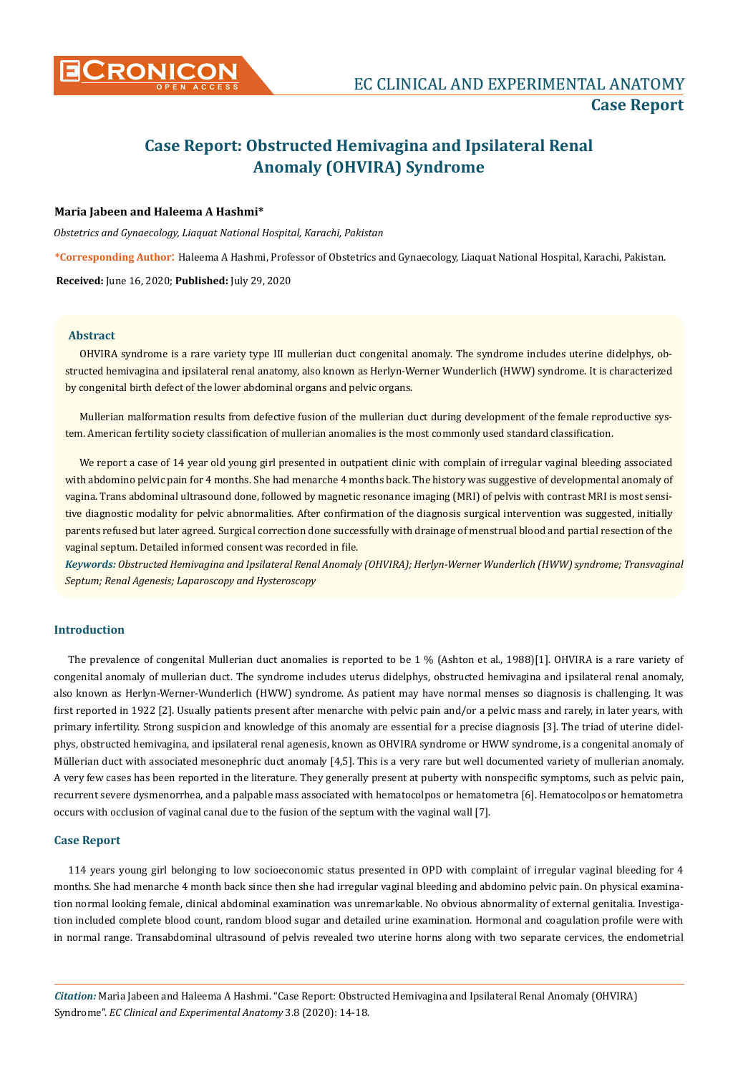

# **Case Report: Obstructed Hemivagina and Ipsilateral Renal Anomaly (OHVIRA) Syndrome**

# **Maria Jabeen and Haleema A Hashmi\***

*Obstetrics and Gynaecology, Liaquat National Hospital, Karachi, Pakistan*

**\*Corresponding Author**: Haleema A Hashmi, Professor of Obstetrics and Gynaecology, Liaquat National Hospital, Karachi, Pakistan.

**Received:** June 16, 2020; **Published:** July 29, 2020

## **Abstract**

OHVIRA syndrome is a rare variety type III mullerian duct congenital anomaly. The syndrome includes uterine didelphys, obstructed hemivagina and ipsilateral renal anatomy, also known as Herlyn-Werner Wunderlich (HWW) syndrome. It is characterized by congenital birth defect of the lower abdominal organs and pelvic organs.

Mullerian malformation results from defective fusion of the mullerian duct during development of the female reproductive system. American fertility society classification of mullerian anomalies is the most commonly used standard classification.

We report a case of 14 year old young girl presented in outpatient clinic with complain of irregular vaginal bleeding associated with abdomino pelvic pain for 4 months. She had menarche 4 months back. The history was suggestive of developmental anomaly of vagina. Trans abdominal ultrasound done, followed by magnetic resonance imaging (MRI) of pelvis with contrast MRI is most sensitive diagnostic modality for pelvic abnormalities. After confirmation of the diagnosis surgical intervention was suggested, initially parents refused but later agreed. Surgical correction done successfully with drainage of menstrual blood and partial resection of the vaginal septum. Detailed informed consent was recorded in file.

*Keywords: Obstructed Hemivagina and Ipsilateral Renal Anomaly (OHVIRA); Herlyn-Werner Wunderlich (HWW) syndrome; Transvaginal Septum; Renal Agenesis; Laparoscopy and Hysteroscopy*

# **Introduction**

The prevalence of congenital Mullerian duct anomalies is reported to be 1 % (Ashton et al., 1988)[1]. OHVIRA is a rare variety of congenital anomaly of mullerian duct. The syndrome includes uterus didelphys, obstructed hemivagina and ipsilateral renal anomaly, also known as Herlyn-Werner-Wunderlich (HWW) syndrome. As patient may have normal menses so diagnosis is challenging. It was first reported in 1922 [2]. Usually patients present after menarche with pelvic pain and/or a pelvic mass and rarely, in later years, with primary infertility. Strong suspicion and knowledge of this anomaly are essential for a precise diagnosis [3]. The triad of uterine didelphys, obstructed hemivagina, and ipsilateral renal agenesis, known as OHVIRA syndrome or HWW syndrome, is a congenital anomaly of Müllerian duct with associated mesonephric duct anomaly [4,5]. This is a very rare but well documented variety of mullerian anomaly. A very few cases has been reported in the literature. They generally present at puberty with nonspecific symptoms, such as pelvic pain, recurrent severe dysmenorrhea, and a palpable mass associated with hematocolpos or hematometra [6]. Hematocolpos or hematometra occurs with occlusion of vaginal canal due to the fusion of the septum with the vaginal wall [7].

#### **Case Report**

114 years young girl belonging to low socioeconomic status presented in OPD with complaint of irregular vaginal bleeding for 4 months. She had menarche 4 month back since then she had irregular vaginal bleeding and abdomino pelvic pain. On physical examination normal looking female, clinical abdominal examination was unremarkable. No obvious abnormality of external genitalia. Investigation included complete blood count, random blood sugar and detailed urine examination. Hormonal and coagulation profile were with in normal range. Transabdominal ultrasound of pelvis revealed two uterine horns along with two separate cervices, the endometrial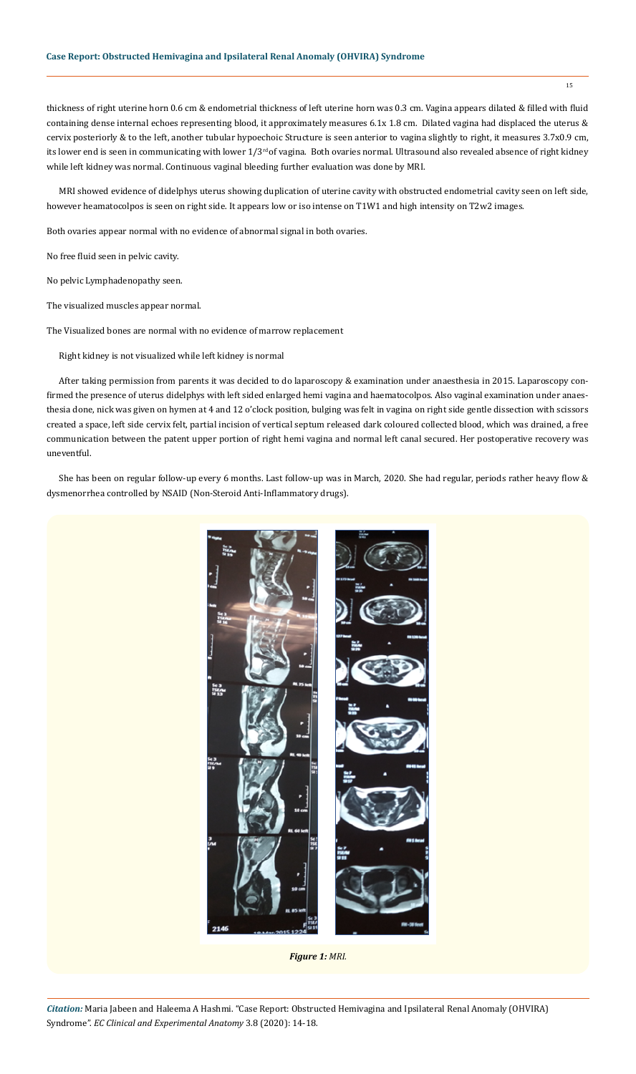thickness of right uterine horn 0.6 cm & endometrial thickness of left uterine horn was 0.3 cm. Vagina appears dilated & filled with fluid containing dense internal echoes representing blood, it approximately measures 6.1x 1.8 cm. Dilated vagina had displaced the uterus & cervix posteriorly & to the left, another tubular hypoechoic Structure is seen anterior to vagina slightly to right, it measures 3.7x0.9 cm, its lower end is seen in communicating with lower 1/3<sup>rd</sup> of vagina. Both ovaries normal. Ultrasound also revealed absence of right kidney while left kidney was normal. Continuous vaginal bleeding further evaluation was done by MRI.

MRI showed evidence of didelphys uterus showing duplication of uterine cavity with obstructed endometrial cavity seen on left side, however heamatocolpos is seen on right side. It appears low or iso intense on T1W1 and high intensity on T2w2 images.

Both ovaries appear normal with no evidence of abnormal signal in both ovaries.

No free fluid seen in pelvic cavity.

No pelvic Lymphadenopathy seen.

The visualized muscles appear normal.

The Visualized bones are normal with no evidence of marrow replacement

Right kidney is not visualized while left kidney is normal

After taking permission from parents it was decided to do laparoscopy & examination under anaesthesia in 2015. Laparoscopy confirmed the presence of uterus didelphys with left sided enlarged hemi vagina and haematocolpos. Also vaginal examination under anaesthesia done, nick was given on hymen at 4 and 12 o'clock position, bulging was felt in vagina on right side gentle dissection with scissors created a space, left side cervix felt, partial incision of vertical septum released dark coloured collected blood, which was drained, a free communication between the patent upper portion of right hemi vagina and normal left canal secured. Her postoperative recovery was uneventful.

She has been on regular follow-up every 6 months. Last follow-up was in March, 2020. She had regular, periods rather heavy flow & dysmenorrhea controlled by NSAID (Non-Steroid Anti-Inflammatory drugs).



*Figure 1: MRI.*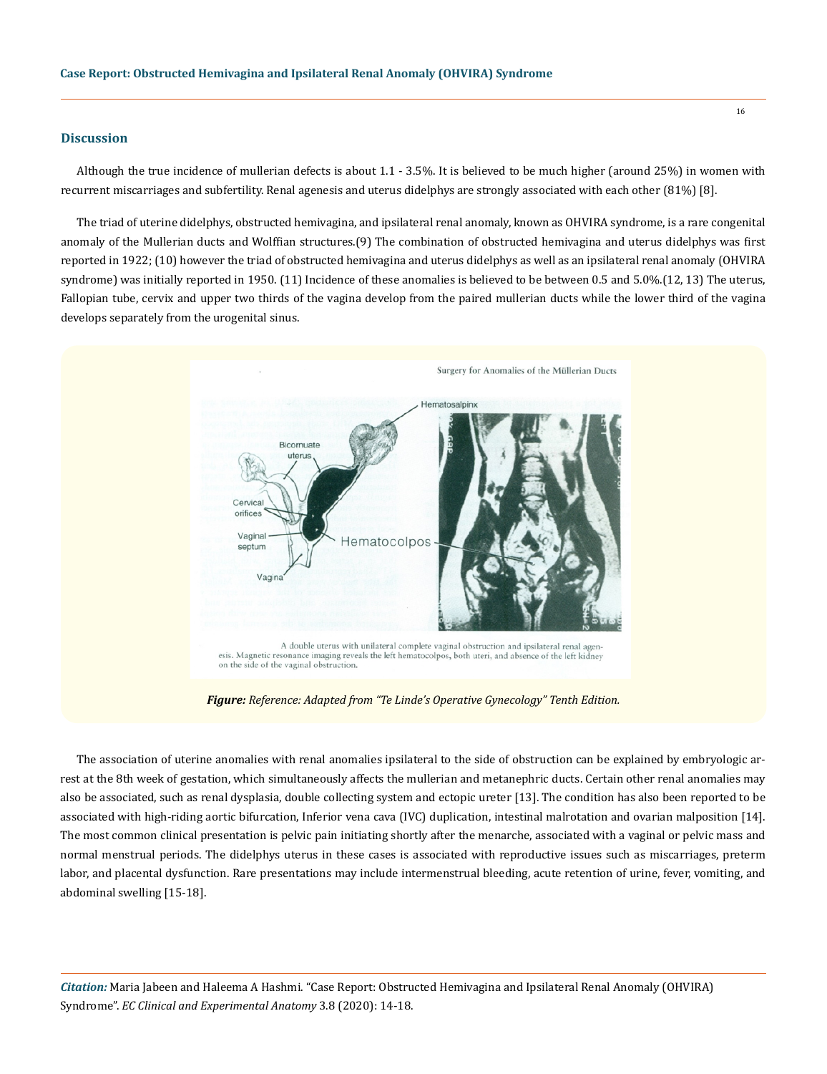#### **Discussion**

Although the true incidence of mullerian defects is about 1.1 - 3.5%. It is believed to be much higher (around 25%) in women with recurrent miscarriages and subfertility. Renal agenesis and uterus didelphys are strongly associated with each other (81%) [8].

The triad of uterine didelphys, obstructed hemivagina, and ipsilateral renal anomaly, known as OHVIRA syndrome, is a rare congenital anomaly of the Mullerian ducts and Wolffian structures.(9) The combination of obstructed hemivagina and uterus didelphys was first reported in 1922; (10) however the triad of obstructed hemivagina and uterus didelphys as well as an ipsilateral renal anomaly (OHVIRA syndrome) was initially reported in 1950. (11) Incidence of these anomalies is believed to be between 0.5 and 5.0%.(12, 13) The uterus, Fallopian tube, cervix and upper two thirds of the vagina develop from the paired mullerian ducts while the lower third of the vagina develops separately from the urogenital sinus.



*Figure: Reference: Adapted from "Te Linde's Operative Gynecology" Tenth Edition.*

The association of uterine anomalies with renal anomalies ipsilateral to the side of obstruction can be explained by embryologic arrest at the 8th week of gestation, which simultaneously affects the mullerian and metanephric ducts. Certain other renal anomalies may also be associated, such as renal dysplasia, double collecting system and ectopic ureter [13]. The condition has also been reported to be associated with high-riding aortic bifurcation, Inferior vena cava (IVC) duplication, intestinal malrotation and ovarian malposition [14]. The most common clinical presentation is pelvic pain initiating shortly after the menarche, associated with a vaginal or pelvic mass and normal menstrual periods. The didelphys uterus in these cases is associated with reproductive issues such as miscarriages, preterm labor, and placental dysfunction. Rare presentations may include intermenstrual bleeding, acute retention of urine, fever, vomiting, and abdominal swelling [15-18].

*Citation:* Maria Jabeen and Haleema A Hashmi. "Case Report: Obstructed Hemivagina and Ipsilateral Renal Anomaly (OHVIRA) Syndrome". *EC Clinical and Experimental Anatomy* 3.8 (2020): 14-18.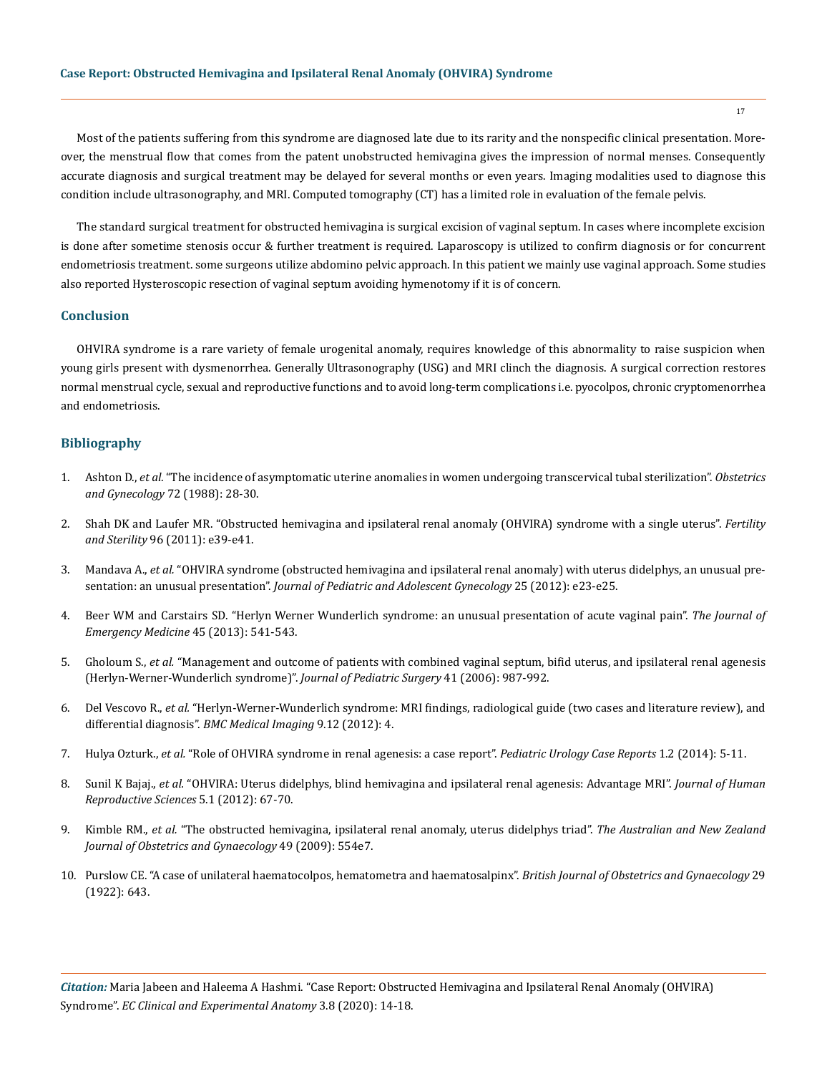Most of the patients suffering from this syndrome are diagnosed late due to its rarity and the nonspecific clinical presentation. Moreover, the menstrual flow that comes from the patent unobstructed hemivagina gives the impression of normal menses. Consequently accurate diagnosis and surgical treatment may be delayed for several months or even years. Imaging modalities used to diagnose this condition include ultrasonography, and MRI. Computed tomography (CT) has a limited role in evaluation of the female pelvis.

The standard surgical treatment for obstructed hemivagina is surgical excision of vaginal septum. In cases where incomplete excision is done after sometime stenosis occur & further treatment is required. Laparoscopy is utilized to confirm diagnosis or for concurrent endometriosis treatment. some surgeons utilize abdomino pelvic approach. In this patient we mainly use vaginal approach. Some studies also reported Hysteroscopic resection of vaginal septum avoiding hymenotomy if it is of concern.

# **Conclusion**

OHVIRA syndrome is a rare variety of female urogenital anomaly, requires knowledge of this abnormality to raise suspicion when young girls present with dysmenorrhea. Generally Ultrasonography (USG) and MRI clinch the diagnosis. A surgical correction restores normal menstrual cycle, sexual and reproductive functions and to avoid long-term complications i.e. pyocolpos, chronic cryptomenorrhea and endometriosis.

## **Bibliography**

- 1. Ashton D., *et al.* ["The incidence of asymptomatic uterine anomalies in women undergoing transcervical tubal sterilization".](https://pubmed.ncbi.nlm.nih.gov/3380507/) *Obstetrics [and Gynecology](https://pubmed.ncbi.nlm.nih.gov/3380507/)* 72 (1988): 28-30.
- 2. [Shah DK and Laufer MR. "Obstructed hemivagina and ipsilateral renal anomaly \(OHVIRA\) syndrome with a single uterus".](https://www.ncbi.nlm.nih.gov/pmc/articles/PMC5798792/) *Fertility and Sterility* [96 \(2011\): e39-e41.](https://www.ncbi.nlm.nih.gov/pmc/articles/PMC5798792/)
- 3. Mandava A., *et al.* ["OHVIRA syndrome \(obstructed hemivagina and ipsilateral renal anomaly\) with uterus didelphys, an unusual pre](https://pubmed.ncbi.nlm.nih.gov/22421561/)sentation: an unusual presentation". *[Journal of Pediatric and Adolescent Gynecology](https://pubmed.ncbi.nlm.nih.gov/22421561/)* 25 (2012): e23-e25.
- 4. [Beer WM and Carstairs SD. "Herlyn Werner Wunderlich syndrome: an unusual presentation of acute vaginal pain".](https://pubmed.ncbi.nlm.nih.gov/23810118/) *The Journal of [Emergency Medicine](https://pubmed.ncbi.nlm.nih.gov/23810118/)* 45 (2013): 541-543.
- 5. Gholoum S., *et al.* ["Management and outcome of patients with combined vaginal septum, bifid uterus, and ipsilateral renal agenesis](https://pubmed.ncbi.nlm.nih.gov/16677898/)  [\(Herlyn-Werner-Wunderlich syndrome\)".](https://pubmed.ncbi.nlm.nih.gov/16677898/) *Journal of Pediatric Surgery* 41 (2006): 987-992.
- 6. Del Vescovo R., *et al.* ["Herlyn-Werner-Wunderlich syndrome: MRI findings, radiological guide \(two cases and literature review\), and](https://bmcmedimaging.biomedcentral.com/articles/10.1186/1471-2342-12-4)  differential diagnosis". *[BMC Medical Imaging](https://bmcmedimaging.biomedcentral.com/articles/10.1186/1471-2342-12-4)* 9.12 (2012): 4.
- 7. Hulya Ozturk., *et al.* ["Role of OHVIRA syndrome in renal agenesis: a case report".](http://pediatricurologycasereports.com/ojs/index.php/pucr/article/view/12) *Pediatric Urology Case Reports* 1.2 (2014): 5-11.
- 8. Sunil K Bajaj., *et al.* ["OHVIRA: Uterus didelphys, blind hemivagina and ipsilateral renal agenesis: Advantage MRI".](https://www.ncbi.nlm.nih.gov/pmc/articles/PMC3409925/) *Journal of Human [Reproductive Sciences](https://www.ncbi.nlm.nih.gov/pmc/articles/PMC3409925/)* 5.1 (2012): 67-70.
- 9. Kimble RM., *et al.* ["The obstructed hemivagina, ipsilateral renal anomaly, uterus didelphys triad".](https://pubmed.ncbi.nlm.nih.gov/19780744/) *The Australian and New Zealand [Journal of Obstetrics and Gynaecology](https://pubmed.ncbi.nlm.nih.gov/19780744/)* 49 (2009): 554e7.
- 10. Purslow CE. "A case of unilateral haematocolpos, hematometra and haematosalpinx". *British Journal of Obstetrics and Gynaecology* 29 (1922): 643.

*Citation:* Maria Jabeen and Haleema A Hashmi. "Case Report: Obstructed Hemivagina and Ipsilateral Renal Anomaly (OHVIRA) Syndrome". *EC Clinical and Experimental Anatomy* 3.8 (2020): 14-18.

17